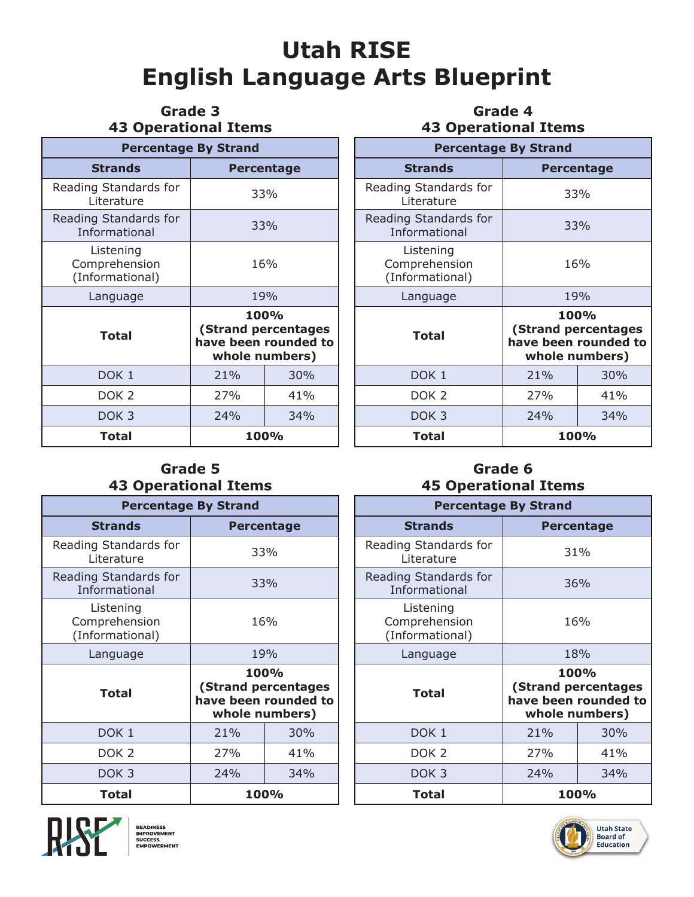| Grade 3<br><b>43 Operational Items</b>        |                                                                              |      |  |
|-----------------------------------------------|------------------------------------------------------------------------------|------|--|
| <b>Percentage By Strand</b>                   |                                                                              |      |  |
| <b>Strands</b>                                | <b>Percentage</b>                                                            |      |  |
| Reading Standards for<br>Literature           | 33%                                                                          |      |  |
| Reading Standards for<br>Informational        | 33%                                                                          |      |  |
| Listening<br>Comprehension<br>(Informational) | 16%                                                                          |      |  |
| Language                                      | 19%                                                                          |      |  |
| <b>Total</b>                                  | <b>100%</b><br>(Strand percentages<br>have been rounded to<br>whole numbers) |      |  |
| DOK <sub>1</sub>                              | 21%                                                                          | 30%  |  |
| DOK <sub>2</sub>                              | 27%                                                                          | 41%  |  |
| DOK <sub>3</sub>                              | 24%                                                                          | 34%  |  |
| Total                                         |                                                                              | 100% |  |

#### **Grade 4 43 Operational Items**

| <b>Percentage By Strand</b>                   |                                                                       |             |  |
|-----------------------------------------------|-----------------------------------------------------------------------|-------------|--|
| <b>Strands</b>                                | <b>Percentage</b>                                                     |             |  |
| Reading Standards for<br>Literature           | 33%                                                                   |             |  |
| Reading Standards for<br>Informational        | 33%                                                                   |             |  |
| Listening<br>Comprehension<br>(Informational) | 16%                                                                   |             |  |
| Language                                      | 19%                                                                   |             |  |
| Total                                         | 100%<br>(Strand percentages<br>have been rounded to<br>whole numbers) |             |  |
| DOK <sub>1</sub>                              | 21%<br>30%                                                            |             |  |
| DOK <sub>2</sub>                              | 27%                                                                   | 41%         |  |
| DOK <sub>3</sub>                              | 24%                                                                   | 34%         |  |
| Total                                         |                                                                       | <b>100%</b> |  |

#### **Grade 5 43 Operational Items**

| <b>Percentage By Strand</b>                   |                                                                       |     |  |
|-----------------------------------------------|-----------------------------------------------------------------------|-----|--|
| <b>Strands</b>                                | <b>Percentage</b>                                                     |     |  |
| Reading Standards for<br>Literature           | 33%                                                                   |     |  |
| Reading Standards for<br>Informational        | 33%                                                                   |     |  |
| Listening<br>Comprehension<br>(Informational) |                                                                       | 16% |  |
| Language                                      | 19%                                                                   |     |  |
| Total                                         | 100%<br>(Strand percentages<br>have been rounded to<br>whole numbers) |     |  |
| DOK <sub>1</sub>                              | 21%                                                                   | 30% |  |
| DOK <sub>2</sub>                              | 27%                                                                   | 41% |  |
| DOK 3                                         | 24%                                                                   | 34% |  |
| Total                                         | 100%                                                                  |     |  |



#### **Grade 6 45 Operational Items**

| <b>Percentage By Strand</b>                   |                                                                       |                   |  |
|-----------------------------------------------|-----------------------------------------------------------------------|-------------------|--|
| <b>Strands</b>                                |                                                                       | <b>Percentage</b> |  |
| Reading Standards for<br>Literature           | 31%                                                                   |                   |  |
| Reading Standards for<br><b>Informational</b> | 36%                                                                   |                   |  |
| Listening<br>Comprehension<br>(Informational) |                                                                       | 16%               |  |
| Language                                      | 18%                                                                   |                   |  |
| Total                                         | 100%<br>(Strand percentages<br>have been rounded to<br>whole numbers) |                   |  |
| DOK <sub>1</sub>                              | 21%                                                                   | 30%               |  |
| DOK <sub>2</sub>                              | 27%                                                                   | 41%               |  |
| DOK 3                                         | 24%                                                                   | 34%               |  |
| Total                                         |                                                                       | 100%              |  |

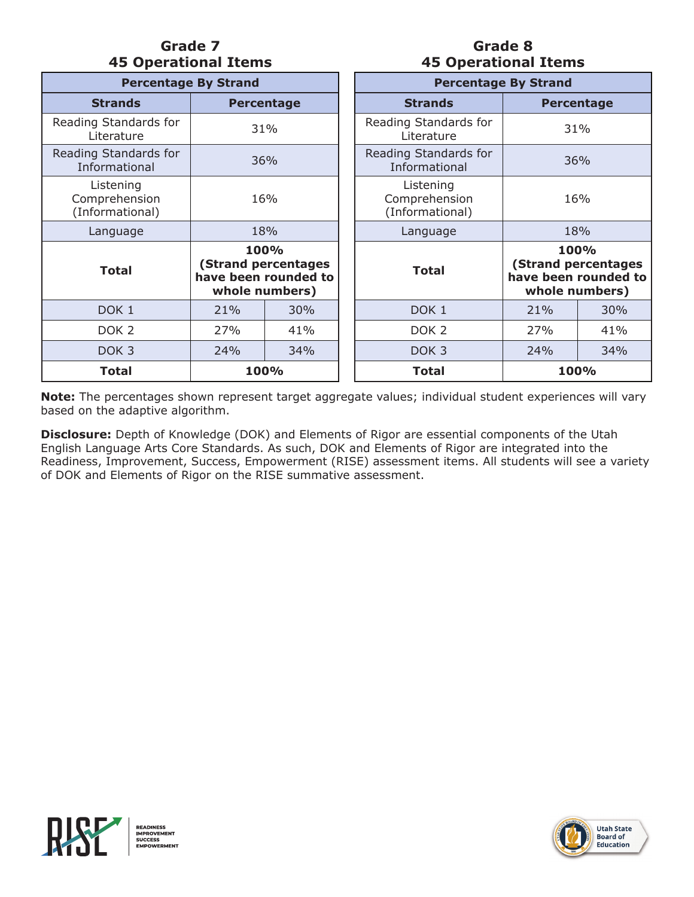| Grade 7                     |  |
|-----------------------------|--|
| <b>45 Operational Items</b> |  |

#### **Grade 8 45 Operational Items**

|                                               | <b>Percentage By Strand</b>                                                  |     |  |                                               | <b>Percentage By Strand</b> |                                                                       |
|-----------------------------------------------|------------------------------------------------------------------------------|-----|--|-----------------------------------------------|-----------------------------|-----------------------------------------------------------------------|
| <b>Strands</b>                                | <b>Percentage</b>                                                            |     |  | <b>Strands</b>                                |                             | <b>Percentage</b>                                                     |
| Reading Standards for<br>Literature           | 31%                                                                          |     |  | Reading Standards for<br>Literature           |                             | 31%                                                                   |
| Reading Standards for<br>Informational        |                                                                              | 36% |  | Reading Standards for<br>Informational        |                             | 36%                                                                   |
| Listening<br>Comprehension<br>(Informational) | 16%                                                                          |     |  | Listening<br>Comprehension<br>(Informational) | 16%                         |                                                                       |
| Language                                      | 18%                                                                          |     |  | Language                                      |                             | 18%                                                                   |
| <b>Total</b>                                  | 100%<br><b>(Strand percentages</b><br>have been rounded to<br>whole numbers) |     |  | <b>Total</b>                                  |                             | 100%<br>(Strand percentages<br>have been rounded to<br>whole numbers) |
| DOK <sub>1</sub>                              | 21%<br>30%                                                                   |     |  | DOK <sub>1</sub>                              | 21%                         | 30%                                                                   |
| DOK <sub>2</sub>                              | 27%                                                                          | 41% |  | DOK <sub>2</sub>                              | 27%                         | 41%                                                                   |
| DOK <sub>3</sub>                              | 24%                                                                          | 34% |  | DOK <sub>3</sub>                              | 24%                         | 34%                                                                   |
| <b>Total</b>                                  | 100%                                                                         |     |  | 100%<br><b>Total</b>                          |                             |                                                                       |

**Note:** The percentages shown represent target aggregate values; individual student experiences will vary based on the adaptive algorithm.

**Disclosure:** Depth of Knowledge (DOK) and Elements of Rigor are essential components of the Utah English Language Arts Core Standards. As such, DOK and Elements of Rigor are integrated into the Readiness, Improvement, Success, Empowerment (RISE) assessment items. All students will see a variety of DOK and Elements of Rigor on the RISE summative assessment.



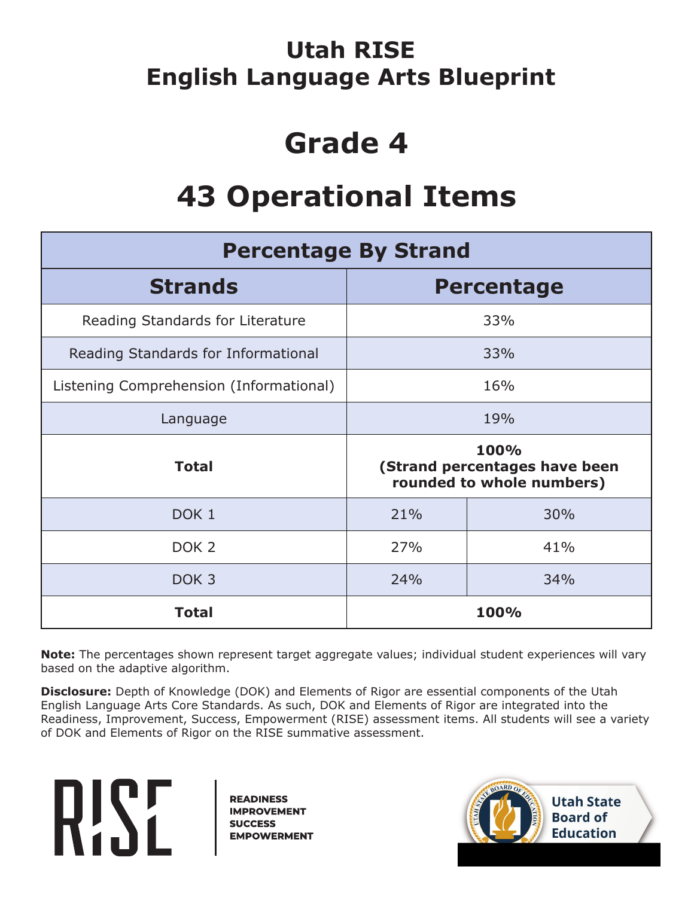### **Grade 4**

# **43 Operational Items**

| <b>Percentage By Strand</b>             |                                                                    |                   |  |
|-----------------------------------------|--------------------------------------------------------------------|-------------------|--|
| <b>Strands</b>                          |                                                                    | <b>Percentage</b> |  |
| Reading Standards for Literature        |                                                                    | 33%               |  |
| Reading Standards for Informational     | 33%                                                                |                   |  |
| Listening Comprehension (Informational) | 16%                                                                |                   |  |
| Language                                | 19%                                                                |                   |  |
| <b>Total</b>                            | 100%<br>(Strand percentages have been<br>rounded to whole numbers) |                   |  |
| DOK <sub>1</sub>                        | 21%                                                                | 30%               |  |
| DOK <sub>2</sub>                        | 27%                                                                | 41%               |  |
| DOK <sub>3</sub>                        | 24%                                                                | 34%               |  |
| <b>Total</b>                            |                                                                    | 100%              |  |

**Note:** The percentages shown represent target aggregate values; individual student experiences will vary based on the adaptive algorithm.

**Disclosure:** Depth of Knowledge (DOK) and Elements of Rigor are essential components of the Utah English Language Arts Core Standards. As such, DOK and Elements of Rigor are integrated into the Readiness, Improvement, Success, Empowerment (RISE) assessment items. All students will see a variety of DOK and Elements of Rigor on the RISE summative assessment.

# RISE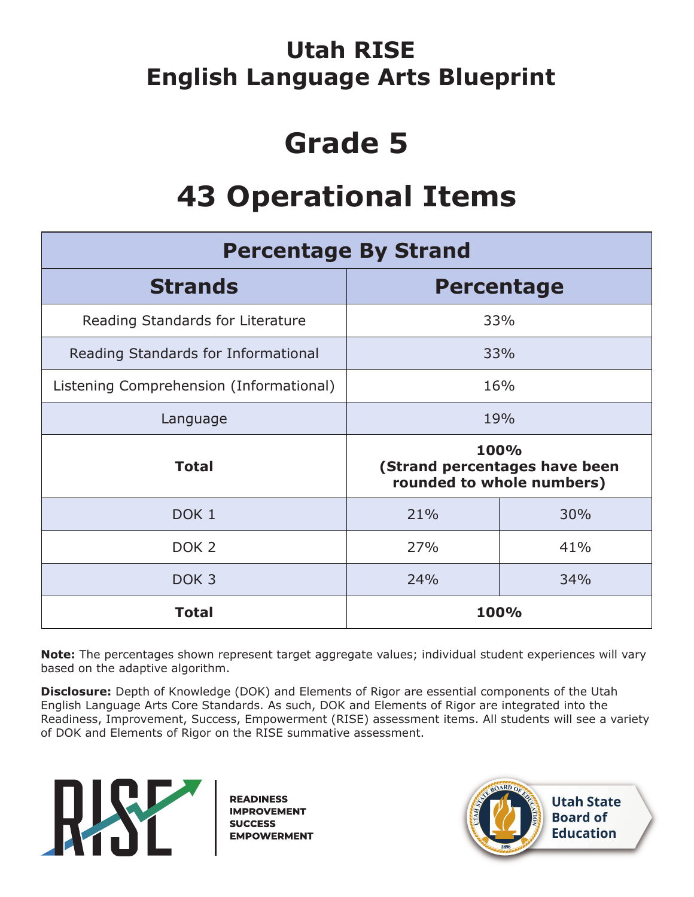# **Grade 5**

# **43 Operational Items**

| <b>Percentage By Strand</b>             |                                                                    |     |  |
|-----------------------------------------|--------------------------------------------------------------------|-----|--|
| <b>Strands</b>                          | <b>Percentage</b>                                                  |     |  |
| Reading Standards for Literature        | 33%                                                                |     |  |
| Reading Standards for Informational     | 33%                                                                |     |  |
| Listening Comprehension (Informational) | 16%                                                                |     |  |
| Language                                | 19%                                                                |     |  |
| <b>Total</b>                            | 100%<br>(Strand percentages have been<br>rounded to whole numbers) |     |  |
| DOK <sub>1</sub>                        | 21%                                                                | 30% |  |
| DOK <sub>2</sub>                        | 27%<br>41%                                                         |     |  |
| DOK <sub>3</sub>                        | 24%<br>34%                                                         |     |  |
| <b>Total</b>                            | 100%                                                               |     |  |

**Note:** The percentages shown represent target aggregate values; individual student experiences will vary based on the adaptive algorithm.

**Disclosure:** Depth of Knowledge (DOK) and Elements of Rigor are essential components of the Utah English Language Arts Core Standards. As such, DOK and Elements of Rigor are integrated into the Readiness, Improvement, Success, Empowerment (RISE) assessment items. All students will see a variety of DOK and Elements of Rigor on the RISE summative assessment.



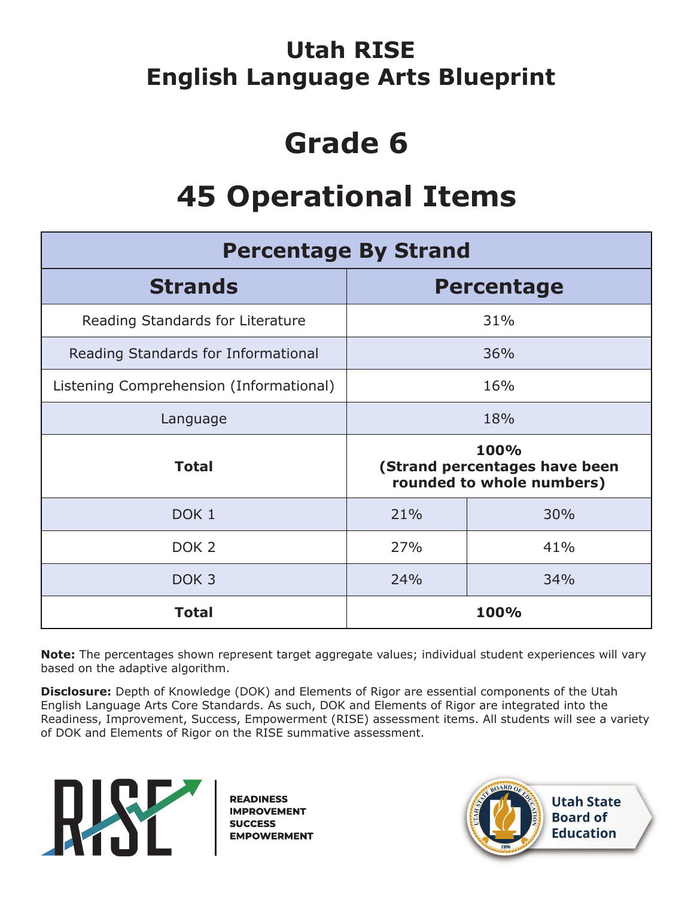# **Grade 6**

# **45 Operational Items**

| <b>Percentage By Strand</b>             |                                                                    |                   |  |
|-----------------------------------------|--------------------------------------------------------------------|-------------------|--|
| <b>Strands</b>                          |                                                                    | <b>Percentage</b> |  |
| Reading Standards for Literature        |                                                                    | 31%               |  |
| Reading Standards for Informational     | 36%                                                                |                   |  |
| Listening Comprehension (Informational) | 16%                                                                |                   |  |
| Language                                | 18%                                                                |                   |  |
| <b>Total</b>                            | 100%<br>(Strand percentages have been<br>rounded to whole numbers) |                   |  |
| DOK <sub>1</sub>                        | 21%                                                                | 30%               |  |
| DOK <sub>2</sub>                        | 27%                                                                | 41%               |  |
| DOK <sub>3</sub>                        | 24%                                                                | 34%               |  |
| <b>Total</b>                            |                                                                    | 100%              |  |

**Note:** The percentages shown represent target aggregate values; individual student experiences will vary based on the adaptive algorithm.

**Disclosure:** Depth of Knowledge (DOK) and Elements of Rigor are essential components of the Utah English Language Arts Core Standards. As such, DOK and Elements of Rigor are integrated into the Readiness, Improvement, Success, Empowerment (RISE) assessment items. All students will see a variety of DOK and Elements of Rigor on the RISE summative assessment.



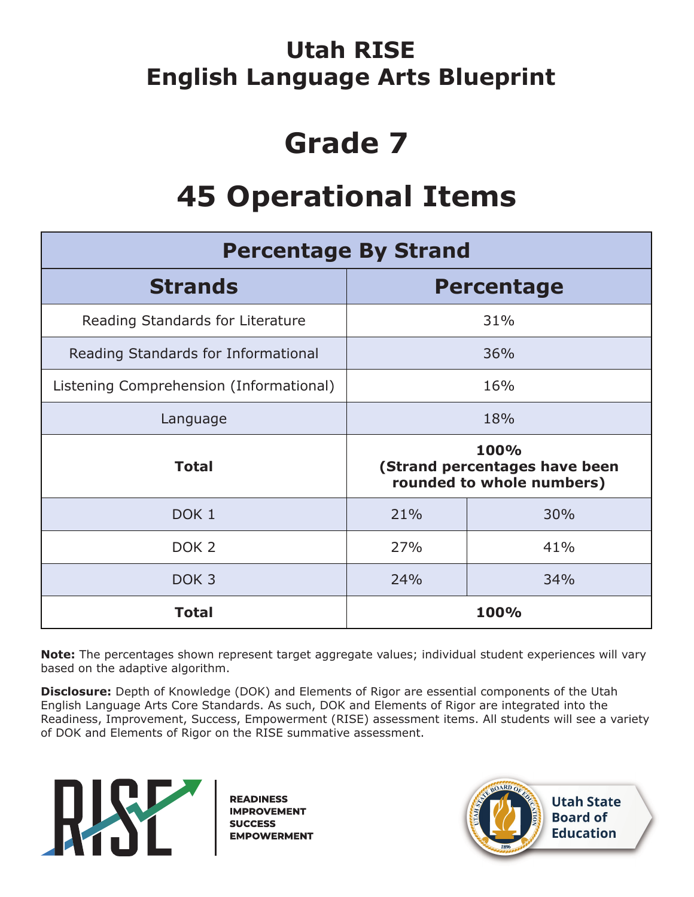# **Grade 7**

# **45 Operational Items**

| <b>Percentage By Strand</b>             |                                                                    |                   |  |
|-----------------------------------------|--------------------------------------------------------------------|-------------------|--|
| <b>Strands</b>                          |                                                                    | <b>Percentage</b> |  |
| Reading Standards for Literature        |                                                                    | 31%               |  |
| Reading Standards for Informational     | 36%                                                                |                   |  |
| Listening Comprehension (Informational) | 16%                                                                |                   |  |
| Language                                | 18%                                                                |                   |  |
| <b>Total</b>                            | 100%<br>(Strand percentages have been<br>rounded to whole numbers) |                   |  |
| DOK <sub>1</sub>                        | 21%                                                                | 30%               |  |
| DOK <sub>2</sub>                        | 27%                                                                | 41%               |  |
| DOK <sub>3</sub>                        | 24%                                                                | 34%               |  |
| <b>Total</b>                            |                                                                    | 100%              |  |

**Note:** The percentages shown represent target aggregate values; individual student experiences will vary based on the adaptive algorithm.

**Disclosure:** Depth of Knowledge (DOK) and Elements of Rigor are essential components of the Utah English Language Arts Core Standards. As such, DOK and Elements of Rigor are integrated into the Readiness, Improvement, Success, Empowerment (RISE) assessment items. All students will see a variety of DOK and Elements of Rigor on the RISE summative assessment.